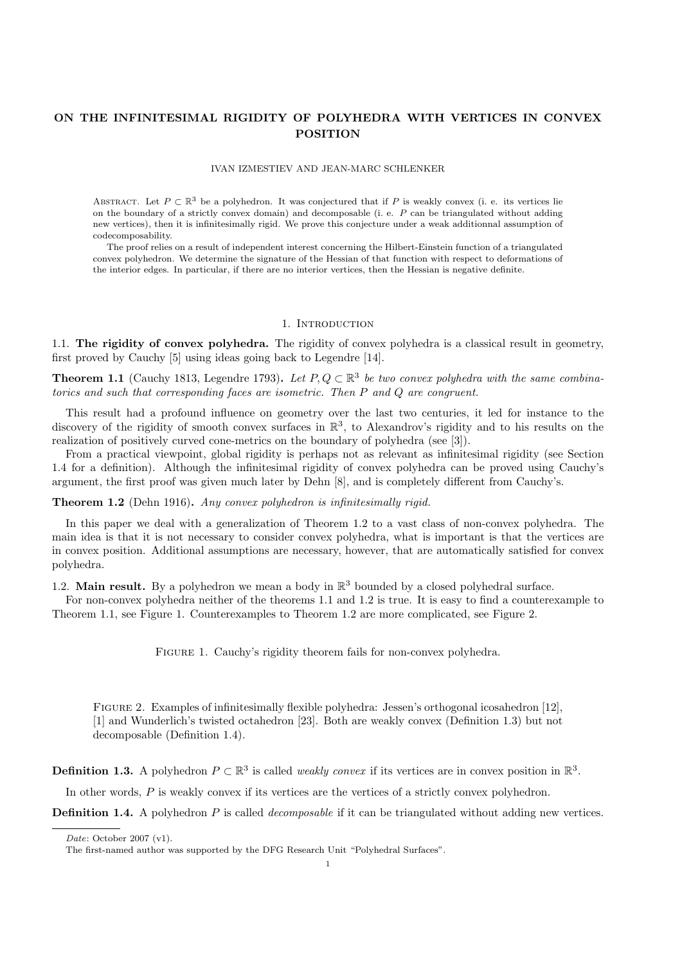# ON THE INFINITESIMAL RIGIDITY OF POLYHEDRA WITH VERTICES IN CONVEX POSITION

## IVAN IZMESTIEV AND JEAN-MARC SCHLENKER

ABSTRACT. Let  $P \subset \mathbb{R}^3$  be a polyhedron. It was conjectured that if P is weakly convex (i. e. its vertices lie on the boundary of a strictly convex domain) and decomposable (i. e. P can be triangulated without adding new vertices), then it is infinitesimally rigid. We prove this conjecture under a weak additionnal assumption of codecomposability.

The proof relies on a result of independent interest concerning the Hilbert-Einstein function of a triangulated convex polyhedron. We determine the signature of the Hessian of that function with respect to deformations of the interior edges. In particular, if there are no interior vertices, then the Hessian is negative definite.

## 1. INTRODUCTION

1.1. The rigidity of convex polyhedra. The rigidity of convex polyhedra is a classical result in geometry, first proved by Cauchy [5] using ideas going back to Legendre [14].

**Theorem 1.1** (Cauchy 1813, Legendre 1793). Let  $P, Q \subset \mathbb{R}^3$  be two convex polyhedra with the same combinatorics and such that corresponding faces are isometric. Then P and Q are congruent.

This result had a profound influence on geometry over the last two centuries, it led for instance to the discovery of the rigidity of smooth convex surfaces in  $\mathbb{R}^3$ , to Alexandrov's rigidity and to his results on the realization of positively curved cone-metrics on the boundary of polyhedra (see [3]).

From a practical viewpoint, global rigidity is perhaps not as relevant as infinitesimal rigidity (see Section 1.4 for a definition). Although the infinitesimal rigidity of convex polyhedra can be proved using Cauchy's argument, the first proof was given much later by Dehn [8], and is completely different from Cauchy's.

Theorem 1.2 (Dehn 1916). Any convex polyhedron is infinitesimally rigid.

In this paper we deal with a generalization of Theorem 1.2 to a vast class of non-convex polyhedra. The main idea is that it is not necessary to consider convex polyhedra, what is important is that the vertices are in convex position. Additional assumptions are necessary, however, that are automatically satisfied for convex polyhedra.

1.2. Main result. By a polyhedron we mean a body in  $\mathbb{R}^3$  bounded by a closed polyhedral surface.

For non-convex polyhedra neither of the theorems 1.1 and 1.2 is true. It is easy to find a counterexample to Theorem 1.1, see Figure 1. Counterexamples to Theorem 1.2 are more complicated, see Figure 2.

FIGURE 1. Cauchy's rigidity theorem fails for non-convex polyhedra.

Figure 2. Examples of infinitesimally flexible polyhedra: Jessen's orthogonal icosahedron [12], [1] and Wunderlich's twisted octahedron [23]. Both are weakly convex (Definition 1.3) but not decomposable (Definition 1.4).

**Definition 1.3.** A polyhedron  $P \subset \mathbb{R}^3$  is called *weakly convex* if its vertices are in convex position in  $\mathbb{R}^3$ .

In other words,  $P$  is weakly convex if its vertices are the vertices of a strictly convex polyhedron.

**Definition 1.4.** A polyhedron P is called *decomposable* if it can be triangulated without adding new vertices.

Date: October 2007 (v1).

The first-named author was supported by the DFG Research Unit "Polyhedral Surfaces".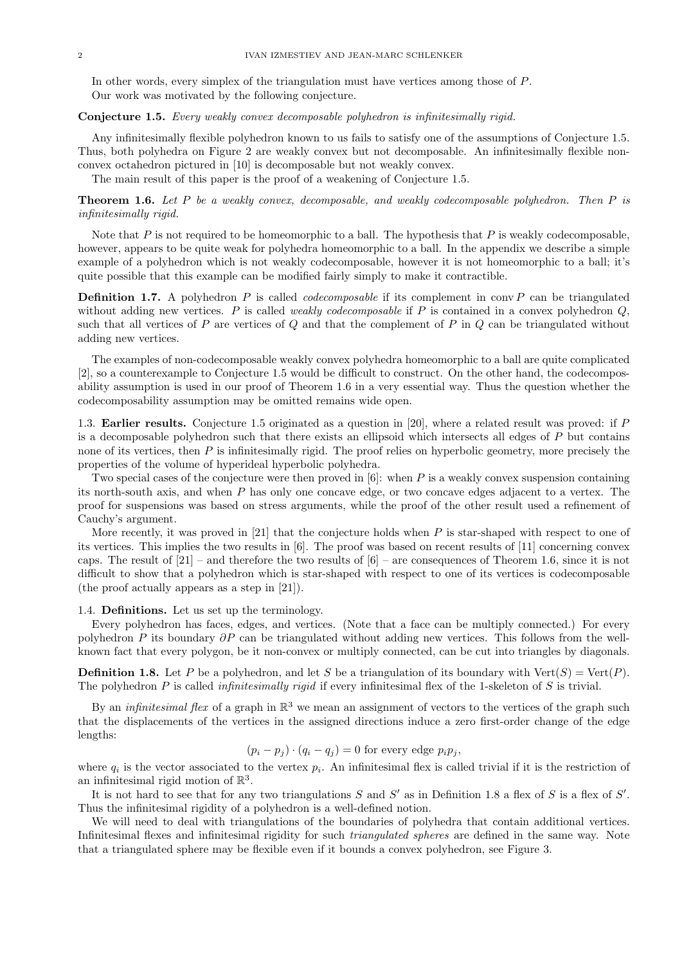In other words, every simplex of the triangulation must have vertices among those of P. Our work was motivated by the following conjecture.

### Conjecture 1.5. Every weakly convex decomposable polyhedron is infinitesimally rigid.

Any infinitesimally flexible polyhedron known to us fails to satisfy one of the assumptions of Conjecture 1.5. Thus, both polyhedra on Figure 2 are weakly convex but not decomposable. An infinitesimally flexible nonconvex octahedron pictured in [10] is decomposable but not weakly convex.

The main result of this paper is the proof of a weakening of Conjecture 1.5.

Theorem 1.6. Let P be a weakly convex, decomposable, and weakly codecomposable polyhedron. Then P is infinitesimally rigid.

Note that  $P$  is not required to be homeomorphic to a ball. The hypothesis that  $P$  is weakly codecomposable, however, appears to be quite weak for polyhedra homeomorphic to a ball. In the appendix we describe a simple example of a polyhedron which is not weakly codecomposable, however it is not homeomorphic to a ball; it's quite possible that this example can be modified fairly simply to make it contractible.

**Definition 1.7.** A polyhedron P is called *codecomposable* if its complement in conv P can be triangulated without adding new vertices. P is called *weakly codecomposable* if P is contained in a convex polyhedron  $Q$ , such that all vertices of P are vertices of Q and that the complement of P in  $Q$  can be triangulated without adding new vertices.

The examples of non-codecomposable weakly convex polyhedra homeomorphic to a ball are quite complicated [2], so a counterexample to Conjecture 1.5 would be difficult to construct. On the other hand, the codecomposability assumption is used in our proof of Theorem 1.6 in a very essential way. Thus the question whether the codecomposability assumption may be omitted remains wide open.

1.3. Earlier results. Conjecture 1.5 originated as a question in [20], where a related result was proved: if P is a decomposable polyhedron such that there exists an ellipsoid which intersects all edges of P but contains none of its vertices, then  $P$  is infinitesimally rigid. The proof relies on hyperbolic geometry, more precisely the properties of the volume of hyperideal hyperbolic polyhedra.

Two special cases of the conjecture were then proved in  $[6]$ : when P is a weakly convex suspension containing its north-south axis, and when P has only one concave edge, or two concave edges adjacent to a vertex. The proof for suspensions was based on stress arguments, while the proof of the other result used a refinement of Cauchy's argument.

More recently, it was proved in [21] that the conjecture holds when  $P$  is star-shaped with respect to one of its vertices. This implies the two results in [6]. The proof was based on recent results of [11] concerning convex caps. The result of  $[21]$  – and therefore the two results of  $[6]$  – are consequences of Theorem 1.6, since it is not difficult to show that a polyhedron which is star-shaped with respect to one of its vertices is codecomposable (the proof actually appears as a step in [21]).

1.4. Definitions. Let us set up the terminology.

Every polyhedron has faces, edges, and vertices. (Note that a face can be multiply connected.) For every polyhedron P its boundary  $\partial P$  can be triangulated without adding new vertices. This follows from the wellknown fact that every polygon, be it non-convex or multiply connected, can be cut into triangles by diagonals.

**Definition 1.8.** Let P be a polyhedron, and let S be a triangulation of its boundary with  $Vert(S) = \text{Vert}(P)$ . The polyhedron  $P$  is called *infinitesimally rigid* if every infinitesimal flex of the 1-skeleton of  $S$  is trivial.

By an *infinitesimal flex* of a graph in  $\mathbb{R}^3$  we mean an assignment of vectors to the vertices of the graph such that the displacements of the vertices in the assigned directions induce a zero first-order change of the edge lengths:

 $(p_i - p_j) \cdot (q_i - q_j) = 0$  for every edge  $p_i p_j$ ,

where  $q_i$  is the vector associated to the vertex  $p_i$ . An infinitesimal flex is called trivial if it is the restriction of an infinitesimal rigid motion of  $\mathbb{R}^3$ .

It is not hard to see that for any two triangulations  $S$  and  $S'$  as in Definition 1.8 a flex of  $S$  is a flex of  $S'$ . Thus the infinitesimal rigidity of a polyhedron is a well-defined notion.

We will need to deal with triangulations of the boundaries of polyhedra that contain additional vertices. Infinitesimal flexes and infinitesimal rigidity for such triangulated spheres are defined in the same way. Note that a triangulated sphere may be flexible even if it bounds a convex polyhedron, see Figure 3.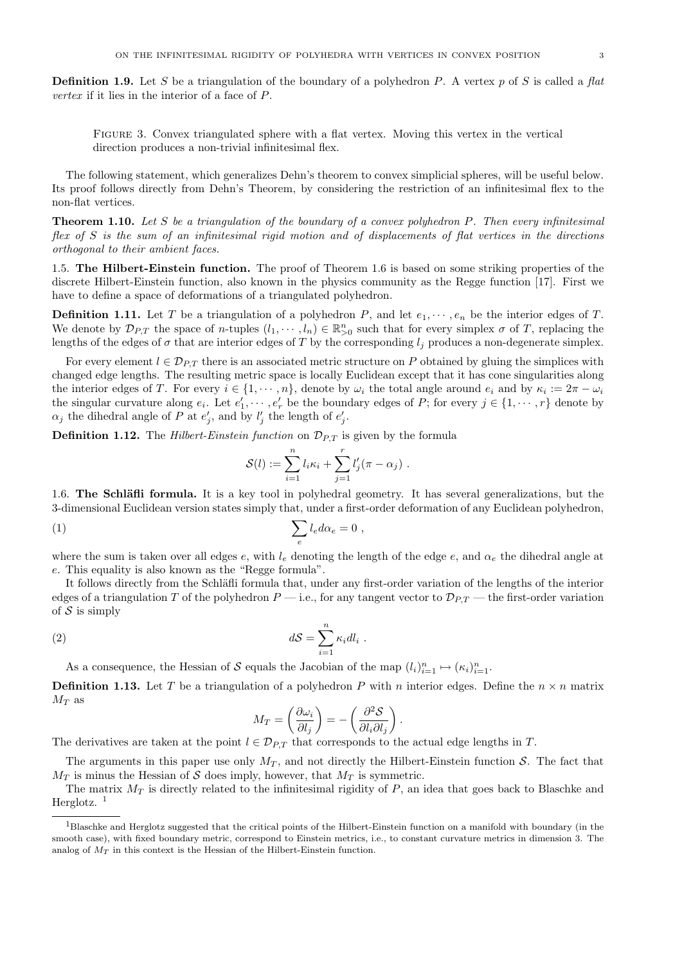**Definition 1.9.** Let S be a triangulation of the boundary of a polyhedron P. A vertex p of S is called a flat vertex if it lies in the interior of a face of P.

Figure 3. Convex triangulated sphere with a flat vertex. Moving this vertex in the vertical direction produces a non-trivial infinitesimal flex.

The following statement, which generalizes Dehn's theorem to convex simplicial spheres, will be useful below. Its proof follows directly from Dehn's Theorem, by considering the restriction of an infinitesimal flex to the non-flat vertices.

**Theorem 1.10.** Let S be a triangulation of the boundary of a convex polyhedron P. Then every infinitesimal flex of S is the sum of an infinitesimal rigid motion and of displacements of flat vertices in the directions orthogonal to their ambient faces.

1.5. The Hilbert-Einstein function. The proof of Theorem 1.6 is based on some striking properties of the discrete Hilbert-Einstein function, also known in the physics community as the Regge function [17]. First we have to define a space of deformations of a triangulated polyhedron.

**Definition 1.11.** Let T be a triangulation of a polyhedron P, and let  $e_1, \dots, e_n$  be the interior edges of T. We denote by  $\mathcal{D}_{P,T}$  the space of *n*-tuples  $(l_1, \dots, l_n) \in \mathbb{R}_{\geq 0}^n$  such that for every simplex  $\sigma$  of T, replacing the lengths of the edges of  $\sigma$  that are interior edges of T by the corresponding  $l_i$  produces a non-degenerate simplex.

For every element  $l \in \mathcal{D}_{P,T}$  there is an associated metric structure on P obtained by gluing the simplices with changed edge lengths. The resulting metric space is locally Euclidean except that it has cone singularities along the interior edges of T. For every  $i \in \{1, \dots, n\}$ , denote by  $\omega_i$  the total angle around  $e_i$  and by  $\kappa_i := 2\pi - \omega_i$ the singular curvature along  $e_i$ . Let  $e'_1, \dots, e'_r$  be the boundary edges of P; for every  $j \in \{1, \dots, r\}$  denote by  $\alpha_j$  the dihedral angle of P at  $e'_j$ , and by  $l'_j$  the length of  $e'_j$ .

**Definition 1.12.** The *Hilbert-Einstein function* on  $\mathcal{D}_{P,T}$  is given by the formula

$$
\mathcal{S}(l) := \sum_{i=1}^n l_i \kappa_i + \sum_{j=1}^r l'_j (\pi - \alpha_j) .
$$

1.6. The Schläfli formula. It is a key tool in polyhedral geometry. It has several generalizations, but the 3-dimensional Euclidean version states simply that, under a first-order deformation of any Euclidean polyhedron,

$$
(1) \qquad \qquad \sum_{e} l_{e} d\alpha_{e} = 0 \ ,
$$

where the sum is taken over all edges e, with  $l_e$  denoting the length of the edge e, and  $\alpha_e$  the dihedral angle at e. This equality is also known as the "Regge formula".

It follows directly from the Schläfli formula that, under any first-order variation of the lengths of the interior edges of a triangulation T of the polyhedron  $P$  — i.e., for any tangent vector to  $\mathcal{D}_{PT}$  — the first-order variation of  $S$  is simply

(2) 
$$
dS = \sum_{i=1}^{n} \kappa_i dl_i.
$$

As a consequence, the Hessian of S equals the Jacobian of the map  $(l_i)_{i=1}^n \mapsto (\kappa_i)_{i=1}^n$ .

**Definition 1.13.** Let T be a triangulation of a polyhedron P with n interior edges. Define the  $n \times n$  matrix  $M_T$  as

$$
M_T = \left(\frac{\partial \omega_i}{\partial l_j}\right) = -\left(\frac{\partial^2 \mathcal{S}}{\partial l_i \partial l_j}\right)
$$

.

The derivatives are taken at the point  $l \in \mathcal{D}_{P,T}$  that corresponds to the actual edge lengths in T.

The arguments in this paper use only  $M_T$ , and not directly the Hilbert-Einstein function S. The fact that  $M_T$  is minus the Hessian of S does imply, however, that  $M_T$  is symmetric.

The matrix  $M_T$  is directly related to the infinitesimal rigidity of  $P$ , an idea that goes back to Blaschke and Herglotz.  $<sup>1</sup>$ </sup>

 $1B$ laschke and Herglotz suggested that the critical points of the Hilbert-Einstein function on a manifold with boundary (in the smooth case), with fixed boundary metric, correspond to Einstein metrics, i.e., to constant curvature metrics in dimension 3. The analog of  $M_T$  in this context is the Hessian of the Hilbert-Einstein function.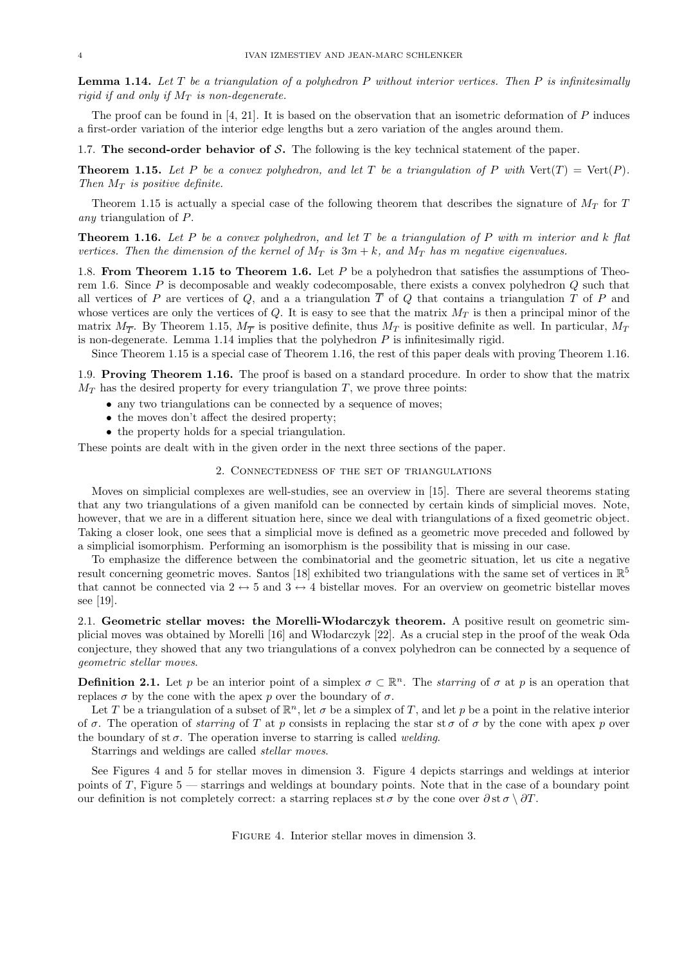**Lemma 1.14.** Let  $T$  be a triangulation of a polyhedron  $P$  without interior vertices. Then  $P$  is infinitesimally rigid if and only if  $M_T$  is non-degenerate.

The proof can be found in  $[4, 21]$ . It is based on the observation that an isometric deformation of P induces a first-order variation of the interior edge lengths but a zero variation of the angles around them.

1.7. The second-order behavior of S. The following is the key technical statement of the paper.

**Theorem 1.15.** Let P be a convex polyhedron, and let T be a triangulation of P with  $Vert(T) = \text{Vert}(P)$ . Then  $M_T$  is positive definite.

Theorem 1.15 is actually a special case of the following theorem that describes the signature of  $M_T$  for T any triangulation of P.

**Theorem 1.16.** Let P be a convex polyhedron, and let T be a triangulation of P with m interior and k flat vertices. Then the dimension of the kernel of  $M_T$  is  $3m + k$ , and  $M_T$  has m negative eigenvalues.

1.8. From Theorem 1.15 to Theorem 1.6. Let  $P$  be a polyhedron that satisfies the assumptions of Theorem 1.6. Since  $P$  is decomposable and weakly codecomposable, there exists a convex polyhedron  $Q$  such that all vertices of P are vertices of Q, and a a triangulation  $\overline{T}$  of Q that contains a triangulation T of P and whose vertices are only the vertices of  $Q$ . It is easy to see that the matrix  $M_T$  is then a principal minor of the matrix  $M_{\overline{T}}$ . By Theorem 1.15,  $M_{\overline{T}}$  is positive definite, thus  $M_T$  is positive definite as well. In particular,  $M_T$ is non-degenerate. Lemma 1.14 implies that the polyhedron  $P$  is infinitesimally rigid.

Since Theorem 1.15 is a special case of Theorem 1.16, the rest of this paper deals with proving Theorem 1.16.

1.9. Proving Theorem 1.16. The proof is based on a standard procedure. In order to show that the matrix  $M_T$  has the desired property for every triangulation T, we prove three points:

- any two triangulations can be connected by a sequence of moves;
- the moves don't affect the desired property;
- the property holds for a special triangulation.

These points are dealt with in the given order in the next three sections of the paper.

### 2. Connectedness of the set of triangulations

Moves on simplicial complexes are well-studies, see an overview in [15]. There are several theorems stating that any two triangulations of a given manifold can be connected by certain kinds of simplicial moves. Note, however, that we are in a different situation here, since we deal with triangulations of a fixed geometric object. Taking a closer look, one sees that a simplicial move is defined as a geometric move preceded and followed by a simplicial isomorphism. Performing an isomorphism is the possibility that is missing in our case.

To emphasize the difference between the combinatorial and the geometric situation, let us cite a negative result concerning geometric moves. Santos [18] exhibited two triangulations with the same set of vertices in  $\mathbb{R}^5$ that cannot be connected via  $2 \leftrightarrow 5$  and  $3 \leftrightarrow 4$  bistellar moves. For an overview on geometric bistellar moves see [19].

2.1. Geometric stellar moves: the Morelli-Włodarczyk theorem. A positive result on geometric simplicial moves was obtained by Morelli [16] and W lodarczyk [22]. As a crucial step in the proof of the weak Oda conjecture, they showed that any two triangulations of a convex polyhedron can be connected by a sequence of geometric stellar moves.

**Definition 2.1.** Let p be an interior point of a simplex  $\sigma \subset \mathbb{R}^n$ . The *starring* of  $\sigma$  at p is an operation that replaces  $\sigma$  by the cone with the apex p over the boundary of  $\sigma$ .

Let T be a triangulation of a subset of  $\mathbb{R}^n$ , let  $\sigma$  be a simplex of T, and let p be a point in the relative interior of  $\sigma$ . The operation of starring of T at p consists in replacing the star st  $\sigma$  of  $\sigma$  by the cone with apex p over the boundary of st  $\sigma$ . The operation inverse to starring is called *welding*.

Starrings and weldings are called stellar moves.

See Figures 4 and 5 for stellar moves in dimension 3. Figure 4 depicts starrings and weldings at interior points of  $T$ , Figure 5 — starrings and weldings at boundary points. Note that in the case of a boundary point our definition is not completely correct: a starring replaces st  $\sigma$  by the cone over  $\partial$  st  $\sigma \setminus \partial T$ .

Figure 4. Interior stellar moves in dimension 3.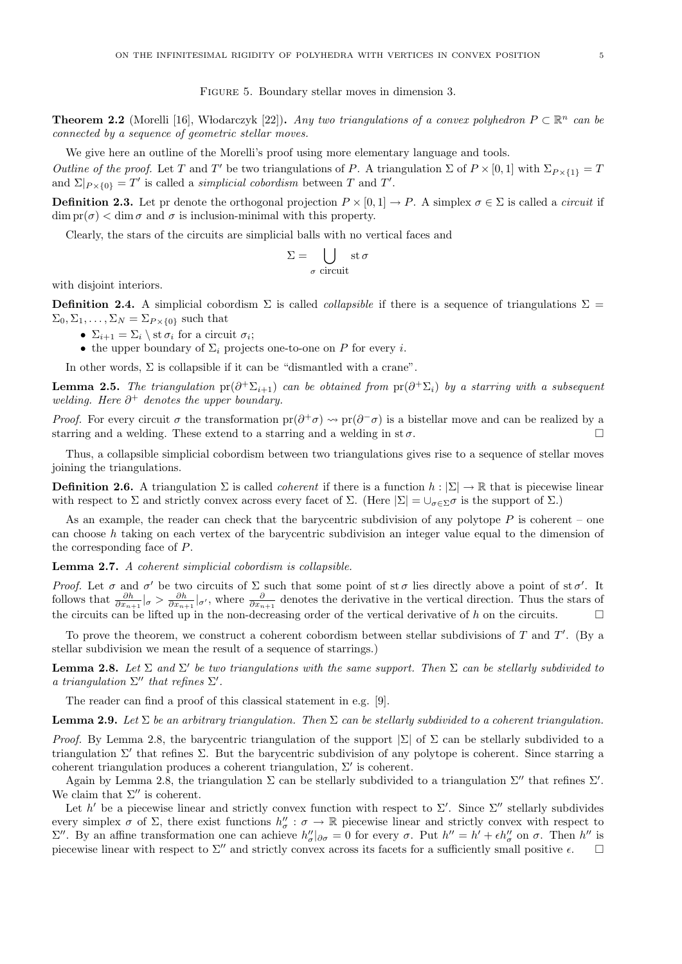Figure 5. Boundary stellar moves in dimension 3.

**Theorem 2.2** (Morelli [16], Włodarczyk [22]). Any two triangulations of a convex polyhedron  $P \subset \mathbb{R}^n$  can be connected by a sequence of geometric stellar moves.

We give here an outline of the Morelli's proof using more elementary language and tools. Outline of the proof. Let T and T' be two triangulations of P. A triangulation  $\Sigma$  of  $P \times [0,1]$  with  $\Sigma_{P \times \{1\}} = T$ and  $\Sigma|_{P\times\{0\}}=T'$  is called a *simplicial cobordism* between T and T'.

**Definition 2.3.** Let pr denote the orthogonal projection  $P \times [0, 1] \rightarrow P$ . A simplex  $\sigma \in \Sigma$  is called a *circuit* if  $\dim \text{pr}(\sigma) < \dim \sigma$  and  $\sigma$  is inclusion-minimal with this property.

Clearly, the stars of the circuits are simplicial balls with no vertical faces and

$$
\Sigma = \bigcup_{\sigma \text{ circuit}} \text{st}\,\sigma
$$

with disjoint interiors.

**Definition 2.4.** A simplicial cobordism  $\Sigma$  is called *collapsible* if there is a sequence of triangulations  $\Sigma$  =  $\Sigma_0, \Sigma_1, \ldots, \Sigma_N = \Sigma_{P \times \{0\}}$  such that

- $\Sigma_{i+1} = \Sigma_i \setminus \text{st } \sigma_i \text{ for a circuit } \sigma_i;$
- the upper boundary of  $\Sigma_i$  projects one-to-one on P for every i.

In other words,  $\Sigma$  is collapsible if it can be "dismantled with a crane".

**Lemma 2.5.** The triangulation  $pr(\partial^+\Sigma_{i+1})$  can be obtained from  $pr(\partial^+\Sigma_i)$  by a starring with a subsequent welding. Here  $\partial^+$  denotes the upper boundary.

*Proof.* For every circuit  $\sigma$  the transformation  $pr(\partial^+\sigma) \leadsto pr(\partial^-\sigma)$  is a bistellar move and can be realized by a starring and a welding. These extend to a starring and a welding in st $\sigma$ .

Thus, a collapsible simplicial cobordism between two triangulations gives rise to a sequence of stellar moves joining the triangulations.

**Definition 2.6.** A triangulation  $\Sigma$  is called *coherent* if there is a function  $h : \Sigma \to \mathbb{R}$  that is piecewise linear with respect to  $\Sigma$  and strictly convex across every facet of  $\Sigma$ . (Here  $|\Sigma| = \bigcup_{\sigma \in \Sigma} \sigma$  is the support of  $\Sigma$ .)

As an example, the reader can check that the barycentric subdivision of any polytope  $P$  is coherent – one can choose h taking on each vertex of the barycentric subdivision an integer value equal to the dimension of the corresponding face of P.

Lemma 2.7. A coherent simplicial cobordism is collapsible.

Proof. Let  $\sigma$  and  $\sigma'$  be two circuits of  $\Sigma$  such that some point of st  $\sigma$  lies directly above a point of st  $\sigma'$ . It follows that  $\frac{\partial h}{\partial x_{n+1}}|_{\sigma} > \frac{\partial h}{\partial x_{n+1}}|_{\sigma'}$ , where  $\frac{\partial}{\partial x_{n+1}}$  denotes the derivative in the vertical direction. Thus the stars of the circuits can be lifted up in the non-decreasing order of the vertical derivative of h on the circuits.

To prove the theorem, we construct a coherent cobordism between stellar subdivisions of  $T$  and  $T'$ . (By a stellar subdivision we mean the result of a sequence of starrings.)

**Lemma 2.8.** Let  $\Sigma$  and  $\Sigma'$  be two triangulations with the same support. Then  $\Sigma$  can be stellarly subdivided to a triangulation  $\Sigma''$  that refines  $\Sigma'$ .

The reader can find a proof of this classical statement in e.g. [9].

**Lemma 2.9.** Let  $\Sigma$  be an arbitrary triangulation. Then  $\Sigma$  can be stellarly subdivided to a coherent triangulation.

*Proof.* By Lemma 2.8, the barycentric triangulation of the support  $|\Sigma|$  of  $\Sigma$  can be stellarly subdivided to a triangulation  $\Sigma'$  that refines  $\Sigma$ . But the barycentric subdivision of any polytope is coherent. Since starring a coherent triangulation produces a coherent triangulation,  $\Sigma'$  is coherent.

Again by Lemma 2.8, the triangulation  $\Sigma$  can be stellarly subdivided to a triangulation  $\Sigma''$  that refines  $\Sigma'$ . We claim that  $\Sigma''$  is coherent.

Let h' be a piecewise linear and strictly convex function with respect to  $\Sigma'$ . Since  $\Sigma''$  stellarly subdivides every simplex  $\sigma$  of  $\Sigma$ , there exist functions  $h''_{\sigma}$ :  $\sigma \to \mathbb{R}$  piecewise linear and strictly convex with respect to  $\Sigma''$ . By an affine transformation one can achieve  $h''_{\sigma}$  |  $\partial \sigma = 0$  for every σ. Put  $h'' = h' + \epsilon h''_{\sigma}$  on σ. Then  $h''$  is piecewise linear with respect to  $\Sigma''$  and strictly convex across its facets for a sufficiently small positive  $\epsilon$ .  $\square$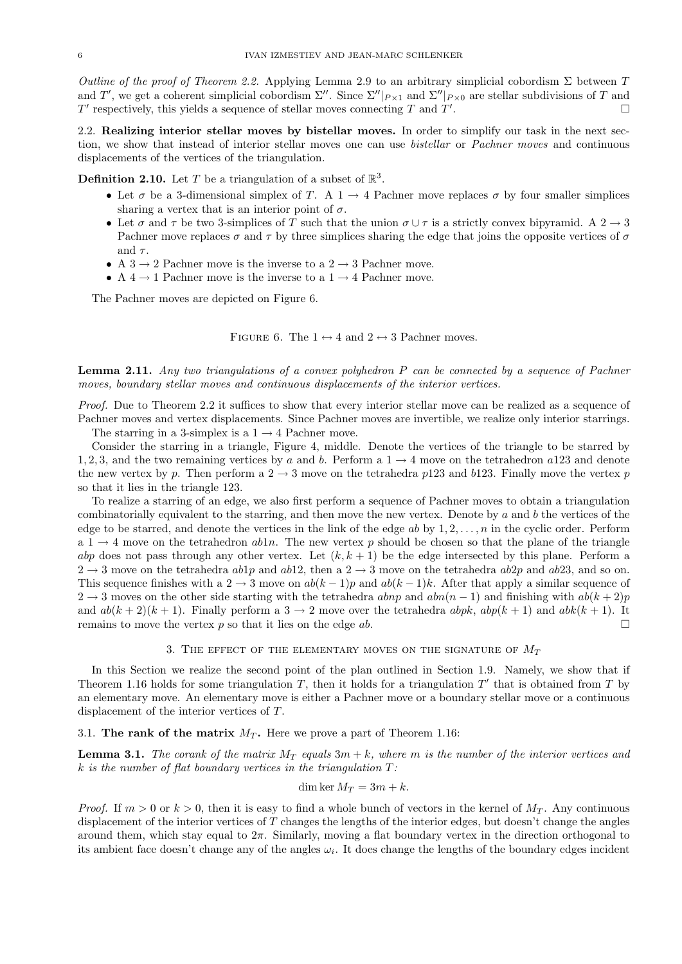Outline of the proof of Theorem 2.2. Applying Lemma 2.9 to an arbitrary simplicial cobordism  $\Sigma$  between T and T', we get a coherent simplicial cobordism  $\Sigma''$ . Since  $\Sigma''|_{P\times 1}$  and  $\Sigma''|_{P\times 0}$  are stellar subdivisions of T and  $T'$  respectively, this yields a sequence of stellar moves connecting  $T$  and  $T'$ . — Первый процесс в серверності процесс в серверності процесс в серверності процесс в серверності процесс в с<br>Процесс в серверності процесс в серверності процесс в серверності процесс в серверності процесс в серверності

2.2. Realizing interior stellar moves by bistellar moves. In order to simplify our task in the next section, we show that instead of interior stellar moves one can use bistellar or Pachner moves and continuous displacements of the vertices of the triangulation.

**Definition 2.10.** Let T be a triangulation of a subset of  $\mathbb{R}^3$ .

- Let  $\sigma$  be a 3-dimensional simplex of T. A 1  $\rightarrow$  4 Pachner move replaces  $\sigma$  by four smaller simplices sharing a vertex that is an interior point of  $\sigma$ .
- Let  $\sigma$  and  $\tau$  be two 3-simplices of T such that the union  $\sigma \cup \tau$  is a strictly convex bipyramid. A 2  $\rightarrow$  3 Pachner move replaces  $\sigma$  and  $\tau$  by three simplices sharing the edge that joins the opposite vertices of  $\sigma$ and  $\tau$ .
- A 3  $\rightarrow$  2 Pachner move is the inverse to a 2  $\rightarrow$  3 Pachner move.
- A 4  $\rightarrow$  1 Pachner move is the inverse to a 1  $\rightarrow$  4 Pachner move.

The Pachner moves are depicted on Figure 6.

FIGURE 6. The  $1 \leftrightarrow 4$  and  $2 \leftrightarrow 3$  Pachner moves.

Lemma 2.11. Any two triangulations of a convex polyhedron P can be connected by a sequence of Pachner moves, boundary stellar moves and continuous displacements of the interior vertices.

Proof. Due to Theorem 2.2 it suffices to show that every interior stellar move can be realized as a sequence of Pachner moves and vertex displacements. Since Pachner moves are invertible, we realize only interior starrings.

The starring in a 3-simplex is a  $1 \rightarrow 4$  Pachner move.

Consider the starring in a triangle, Figure 4, middle. Denote the vertices of the triangle to be starred by 1, 2, 3, and the two remaining vertices by a and b. Perform a  $1 \rightarrow 4$  move on the tetrahedron a123 and denote the new vertex by p. Then perform a  $2 \rightarrow 3$  move on the tetrahedra p123 and b123. Finally move the vertex p so that it lies in the triangle 123.

To realize a starring of an edge, we also first perform a sequence of Pachner moves to obtain a triangulation combinatorially equivalent to the starring, and then move the new vertex. Denote by  $a$  and  $b$  the vertices of the edge to be starred, and denote the vertices in the link of the edge ab by  $1, 2, \ldots, n$  in the cyclic order. Perform  $a_1 \rightarrow 4$  move on the tetrahedron abln. The new vertex p should be chosen so that the plane of the triangle abp does not pass through any other vertex. Let  $(k, k + 1)$  be the edge intersected by this plane. Perform a  $2 \rightarrow 3$  move on the tetrahedra ab1p and ab12, then a  $2 \rightarrow 3$  move on the tetrahedra ab2p and ab23, and so on. This sequence finishes with a 2  $\rightarrow$  3 move on  $ab(k-1)p$  and  $ab(k-1)k$ . After that apply a similar sequence of 2 → 3 moves on the other side starting with the tetrahedra abnp and  $abn(n-1)$  and finishing with  $ab(k+2)p$ and  $ab(k+2)(k+1)$ . Finally perform a  $3 \rightarrow 2$  move over the tetrahedra  $abpk$ ,  $abpk(k+1)$  and  $abk(k+1)$ . It remains to move the vertex p so that it lies on the edge ab.  $\square$ 

3. THE EFFECT OF THE ELEMENTARY MOVES ON THE SIGNATURE OF  $M_T$ 

In this Section we realize the second point of the plan outlined in Section 1.9. Namely, we show that if Theorem 1.16 holds for some triangulation  $T$ , then it holds for a triangulation  $T'$  that is obtained from  $T$  by an elementary move. An elementary move is either a Pachner move or a boundary stellar move or a continuous displacement of the interior vertices of T.

3.1. The rank of the matrix  $M_T$ . Here we prove a part of Theorem 1.16:

**Lemma 3.1.** The corank of the matrix  $M_T$  equals  $3m + k$ , where m is the number of the interior vertices and  $k$  is the number of flat boundary vertices in the triangulation  $T$ :

$$
\dim \ker M_T = 3m + k.
$$

*Proof.* If  $m > 0$  or  $k > 0$ , then it is easy to find a whole bunch of vectors in the kernel of  $M_T$ . Any continuous displacement of the interior vertices of  $T$  changes the lengths of the interior edges, but doesn't change the angles around them, which stay equal to  $2\pi$ . Similarly, moving a flat boundary vertex in the direction orthogonal to its ambient face doesn't change any of the angles  $\omega_i$ . It does change the lengths of the boundary edges incident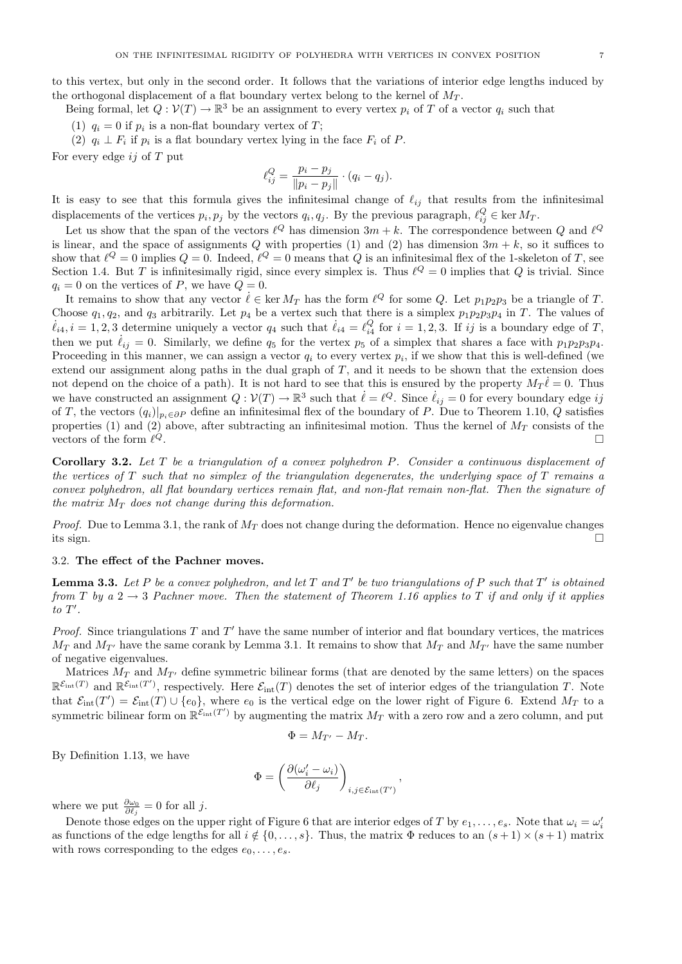to this vertex, but only in the second order. It follows that the variations of interior edge lengths induced by the orthogonal displacement of a flat boundary vertex belong to the kernel of  $M_T$ .

Being formal, let  $Q: \mathcal{V}(T) \to \mathbb{R}^3$  be an assignment to every vertex  $p_i$  of T of a vector  $q_i$  such that

(1)  $q_i = 0$  if  $p_i$  is a non-flat boundary vertex of T;

(2)  $q_i \perp F_i$  if  $p_i$  is a flat boundary vertex lying in the face  $F_i$  of P.

For every edge  $ij$  of  $T$  put

$$
\ell_{ij}^{Q} = \frac{p_i - p_j}{\|p_i - p_j\|} \cdot (q_i - q_j).
$$

It is easy to see that this formula gives the infinitesimal change of  $\ell_{ij}$  that results from the infinitesimal displacements of the vertices  $p_i, p_j$  by the vectors  $q_i, q_j$ . By the previous paragraph,  $\ell_{ij}^Q \in \text{ker } M_T$ .

Let us show that the span of the vectors  $\ell^Q$  has dimension  $3m + k$ . The correspondence between Q and  $\ell^Q$ is linear, and the space of assignments Q with properties (1) and (2) has dimension  $3m + k$ , so it suffices to show that  $\ell^Q = 0$  implies  $Q = 0$ . Indeed,  $\ell^Q = 0$  means that Q is an infinitesimal flex of the 1-skeleton of T, see Section 1.4. But T is infinitesimally rigid, since every simplex is. Thus  $\ell^Q = 0$  implies that Q is trivial. Since  $q_i = 0$  on the vertices of P, we have  $Q = 0$ .

It remains to show that any vector  $\ell \in \ker M_T$  has the form  $\ell^Q$  for some Q. Let  $p_1p_2p_3$  be a triangle of T. Choose  $q_1, q_2$ , and  $q_3$  arbitrarily. Let  $p_4$  be a vertex such that there is a simplex  $p_1p_2p_3p_4$  in T. The values of  $\ell_{i4}$ ,  $i = 1, 2, 3$  determine uniquely a vector  $q_4$  such that  $\ell_{i4} = \ell_{i4}^Q$  for  $i = 1, 2, 3$ . If ij is a boundary edge of T, then we put  $\ell_{ij} = 0$ . Similarly, we define  $q_5$  for the vertex  $p_5$  of a simplex that shares a face with  $p_1p_2p_3p_4$ . Proceeding in this manner, we can assign a vector  $q_i$  to every vertex  $p_i$ , if we show that this is well-defined (we extend our assignment along paths in the dual graph of  $T$ , and it needs to be shown that the extension does not depend on the choice of a path). It is not hard to see that this is ensured by the property  $M_T\ell = 0$ . Thus we have constructed an assignment  $Q: V(T) \to \mathbb{R}^3$  such that  $\ell = \ell^Q$ . Since  $\ell_{ij} = 0$  for every boundary edge ij of T, the vectors  $(q_i)|_{p_i \in \partial P}$  define an infinitesimal flex of the boundary of P. Due to Theorem 1.10, Q satisfies properties (1) and (2) above, after subtracting an infinitesimal motion. Thus the kernel of  $M_T$  consists of the vectors of the form  $\ell^Q$ .  $Q$ 

Corollary 3.2. Let T be a triangulation of a convex polyhedron P. Consider a continuous displacement of the vertices of  $T$  such that no simplex of the triangulation degenerates, the underlying space of  $T$  remains a convex polyhedron, all flat boundary vertices remain flat, and non-flat remain non-flat. Then the signature of the matrix  $M_T$  does not change during this deformation.

*Proof.* Due to Lemma 3.1, the rank of  $M_T$  does not change during the deformation. Hence no eigenvalue changes its sign.

#### 3.2. The effect of the Pachner moves.

**Lemma 3.3.** Let P be a convex polyhedron, and let T and T' be two triangulations of P such that T' is obtained from T by a 2  $\rightarrow$  3 Pachner move. Then the statement of Theorem 1.16 applies to T if and only if it applies  $to T'.$ 

*Proof.* Since triangulations  $T$  and  $T'$  have the same number of interior and flat boundary vertices, the matrices  $M_T$  and  $M_{T'}$  have the same corank by Lemma 3.1. It remains to show that  $M_T$  and  $M_{T'}$  have the same number of negative eigenvalues.

Matrices  $M_T$  and  $M_{T'}$  define symmetric bilinear forms (that are denoted by the same letters) on the spaces  $\mathbb{R}^{\mathcal{E}_{\text{int}}(T)}$  and  $\mathbb{R}^{\mathcal{E}_{\text{int}}(T')}$ , respectively. Here  $\mathcal{E}_{\text{int}}(T)$  denotes the set of interior edges of the triangulation T. Note that  $\mathcal{E}_{\text{int}}(T') = \mathcal{E}_{\text{int}}(T) \cup \{e_0\}$ , where  $e_0$  is the vertical edge on the lower right of Figure 6. Extend  $M_T$  to a symmetric bilinear form on  $\mathbb{R}^{\mathcal{E}_{int}(T')}$  by augmenting the matrix  $M_T$  with a zero row and a zero column, and put

$$
\Phi = M_{T'} - M_T.
$$

By Definition 1.13, we have

$$
\Phi = \left(\frac{\partial (\omega_i' - \omega_i)}{\partial \ell_j}\right)_{i,j \in \mathcal{E}_{\text{int}}(T')},
$$

where we put  $\frac{\partial \omega_0}{\partial \ell_j} = 0$  for all j.

Denote those edges on the upper right of Figure 6 that are interior edges of T by  $e_1, \ldots, e_s$ . Note that  $\omega_i = \omega'_i$ as functions of the edge lengths for all  $i \notin \{0, \ldots, s\}$ . Thus, the matrix  $\Phi$  reduces to an  $(s + 1) \times (s + 1)$  matrix with rows corresponding to the edges  $e_0, \ldots, e_s$ .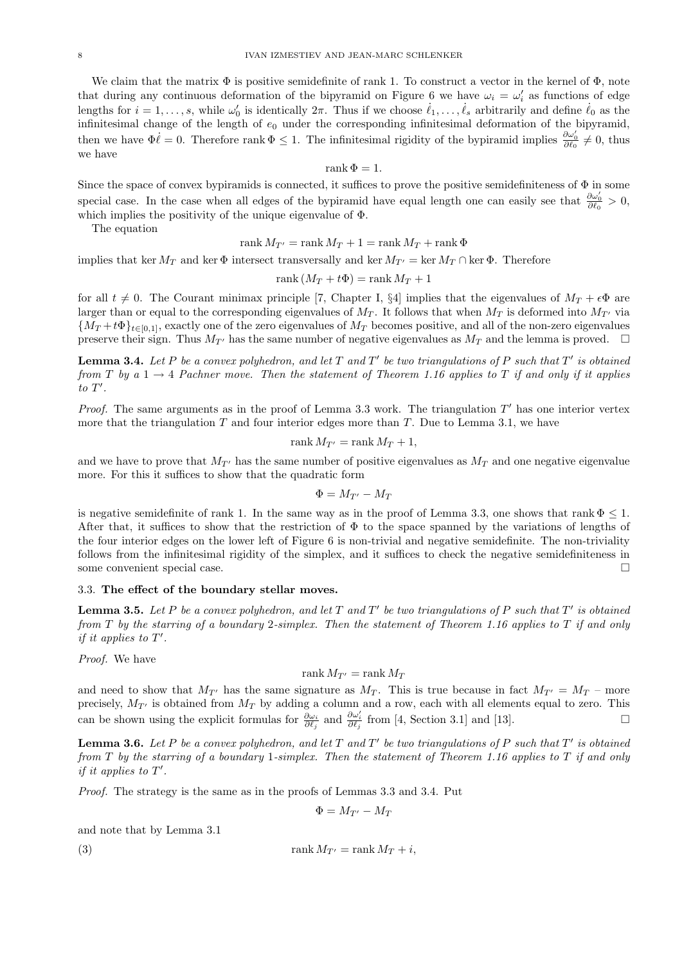We claim that the matrix  $\Phi$  is positive semidefinite of rank 1. To construct a vector in the kernel of  $\Phi$ , note that during any continuous deformation of the bipyramid on Figure 6 we have  $\omega_i = \omega'_i$  as functions of edge lengths for  $i = 1, \ldots, s$ , while  $\omega'_0$  is identically  $2\pi$ . Thus if we choose  $\ell_1, \ldots, \ell_s$  arbitrarily and define  $\ell_0$  as the infinitesimal change of the length of  $e_0$  under the corresponding infinitesimal deformation of the bipyramid, then we have  $\Phi \dot{\ell} = 0$ . Therefore rank  $\Phi \leq 1$ . The infinitesimal rigidity of the bypiramid implies  $\frac{\partial \omega'_0}{\partial \ell_0} \neq 0$ , thus we have

rank  $\Phi = 1$ .

Since the space of convex by piramids is connected, it suffices to prove the positive semidefiniteness of  $\Phi$  in some special case. In the case when all edges of the bypiramid have equal length one can easily see that  $\frac{\partial \omega'_0}{\partial \ell_0} > 0$ , which implies the positivity of the unique eigenvalue of Φ.

The equation

$$
rank M_{T'} = rank M_T + 1 = rank M_T + rank \Phi
$$

implies that ker  $M_T$  and ker  $\Phi$  intersect transversally and ker  $M_{T'}$  = ker  $M_T \cap$  ker  $\Phi$ . Therefore

$$
rank(M_T + t\Phi) = rank M_T + 1
$$

for all  $t \neq 0$ . The Courant minimax principle [7, Chapter I, §4] implies that the eigenvalues of  $M_T + \epsilon \Phi$  are larger than or equal to the corresponding eigenvalues of  $M_T$ . It follows that when  $M_T$  is deformed into  $M_{T'}$  via  ${M_T + t\Phi}_{t\in[0,1]}$ , exactly one of the zero eigenvalues of  $M_T$  becomes positive, and all of the non-zero eigenvalues preserve their sign. Thus  $M_{T'}$  has the same number of negative eigenvalues as  $M_T$  and the lemma is proved.  $\Box$ 

**Lemma 3.4.** Let P be a convex polyhedron, and let T and T' be two triangulations of P such that T' is obtained from T by a 1  $\rightarrow$  4 Pachner move. Then the statement of Theorem 1.16 applies to T if and only if it applies  $to T'.$ 

*Proof.* The same arguments as in the proof of Lemma 3.3 work. The triangulation  $T'$  has one interior vertex more that the triangulation  $T$  and four interior edges more than  $T$ . Due to Lemma 3.1, we have

$$
rank M_{T'} = rank M_T + 1,
$$

and we have to prove that  $M_{T'}$  has the same number of positive eigenvalues as  $M_T$  and one negative eigenvalue more. For this it suffices to show that the quadratic form

$$
\Phi = M_{T'} - M_T
$$

is negative semidefinite of rank 1. In the same way as in the proof of Lemma 3.3, one shows that rank  $\Phi \leq 1$ . After that, it suffices to show that the restriction of  $\Phi$  to the space spanned by the variations of lengths of the four interior edges on the lower left of Figure 6 is non-trivial and negative semidefinite. The non-triviality follows from the infinitesimal rigidity of the simplex, and it suffices to check the negative semidefiniteness in some convenient special case.

### 3.3. The effect of the boundary stellar moves.

**Lemma 3.5.** Let P be a convex polyhedron, and let T and T' be two triangulations of P such that T' is obtained from  $T$  by the starring of a boundary 2-simplex. Then the statement of Theorem 1.16 applies to  $T$  if and only if it applies to  $T'$ .

Proof. We have

# rank  $M_{T'} =$ rank  $M_T$

and need to show that  $M_{T'}$  has the same signature as  $M_T$ . This is true because in fact  $M_{T'} = M_T$  – more precisely,  $M_{T'}$  is obtained from  $M_T$  by adding a column and a row, each with all elements equal to zero. This can be shown using the explicit formulas for  $\frac{\partial \omega_i}{\partial \ell_j}$  and  $\frac{\partial \omega'_i}{\partial \ell_j}$  from [4, Section 3.1] and [13].

**Lemma 3.6.** Let P be a convex polyhedron, and let T and T' be two triangulations of P such that T' is obtained from  $T$  by the starring of a boundary 1-simplex. Then the statement of Theorem 1.16 applies to  $T$  if and only if it applies to  $T'$ .

Proof. The strategy is the same as in the proofs of Lemmas 3.3 and 3.4. Put

$$
\Phi = M_{T'} - M_T
$$

and note that by Lemma 3.1

(3) 
$$
\operatorname{rank} M_{T'} = \operatorname{rank} M_T + i,
$$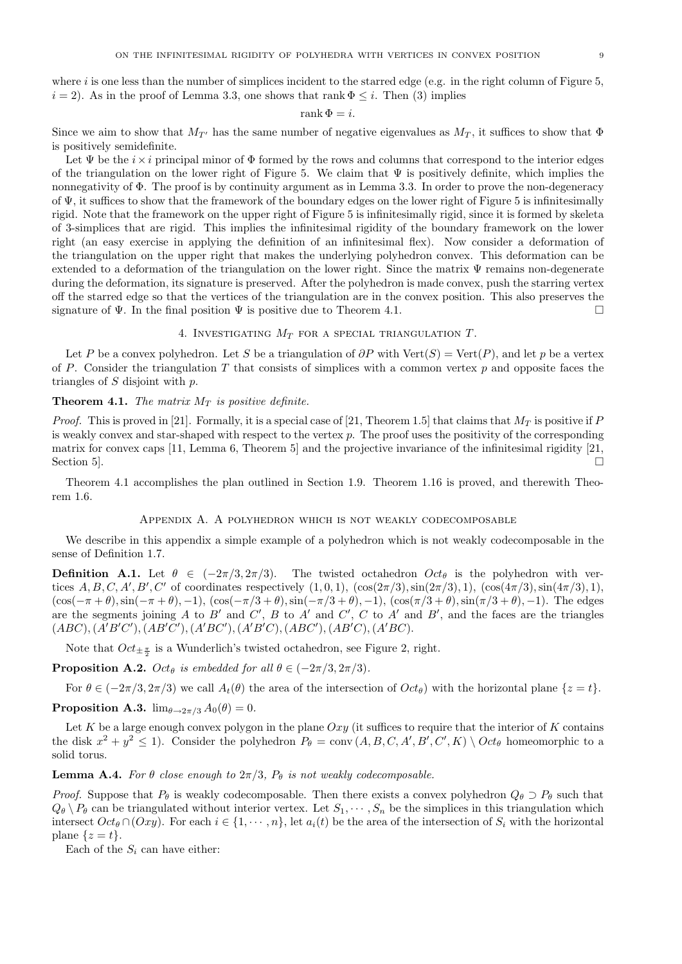where i is one less than the number of simplices incident to the starred edge (e.g. in the right column of Figure 5,  $i = 2$ ). As in the proof of Lemma 3.3, one shows that rank  $\Phi \leq i$ . Then (3) implies

### rank  $\Phi = i$ .

Since we aim to show that  $M_{T'}$  has the same number of negative eigenvalues as  $M_T$ , it suffices to show that  $\Phi$ is positively semidefinite.

Let  $\Psi$  be the  $i \times i$  principal minor of  $\Phi$  formed by the rows and columns that correspond to the interior edges of the triangulation on the lower right of Figure 5. We claim that  $\Psi$  is positively definite, which implies the nonnegativity of Φ. The proof is by continuity argument as in Lemma 3.3. In order to prove the non-degeneracy of  $\Psi$ , it suffices to show that the framework of the boundary edges on the lower right of Figure 5 is infinitesimally rigid. Note that the framework on the upper right of Figure 5 is infinitesimally rigid, since it is formed by skeleta of 3-simplices that are rigid. This implies the infinitesimal rigidity of the boundary framework on the lower right (an easy exercise in applying the definition of an infinitesimal flex). Now consider a deformation of the triangulation on the upper right that makes the underlying polyhedron convex. This deformation can be extended to a deformation of the triangulation on the lower right. Since the matrix  $\Psi$  remains non-degenerate during the deformation, its signature is preserved. After the polyhedron is made convex, push the starring vertex off the starred edge so that the vertices of the triangulation are in the convex position. This also preserves the signature of  $\Psi$ . In the final position  $\Psi$  is positive due to Theorem 4.1.

4. INVESTIGATING  $M_T$  for a special triangulation T.

Let P be a convex polyhedron. Let S be a triangulation of  $\partial P$  with Vert(S) = Vert(P), and let p be a vertex of P. Consider the triangulation T that consists of simplices with a common vertex  $p$  and opposite faces the triangles of  $S$  disjoint with  $p$ .

# **Theorem 4.1.** The matrix  $M_T$  is positive definite.

*Proof.* This is proved in [21]. Formally, it is a special case of [21, Theorem 1.5] that claims that  $M_T$  is positive if P is weakly convex and star-shaped with respect to the vertex  $p$ . The proof uses the positivity of the corresponding matrix for convex caps [11, Lemma 6, Theorem 5] and the projective invariance of the infinitesimal rigidity [21, Section 5].

Theorem 4.1 accomplishes the plan outlined in Section 1.9. Theorem 1.16 is proved, and therewith Theorem 1.6.

### Appendix A. A polyhedron which is not weakly codecomposable

We describe in this appendix a simple example of a polyhedron which is not weakly codecomposable in the sense of Definition 1.7.

**Definition A.1.** Let  $\theta \in (-2\pi/3, 2\pi/3)$ . The twisted octahedron  $Oct_{\theta}$  is the polyhedron with vertices  $A, B, C, A', B', C'$  of coordinates respectively  $(1, 0, 1)$ ,  $(\cos(2\pi/3), \sin(2\pi/3), 1)$ ,  $(\cos(4\pi/3), \sin(4\pi/3), 1)$ ,  $(\cos(-\pi + \theta), \sin(-\pi + \theta), -1), (\cos(-\pi/3 + \theta), \sin(-\pi/3 + \theta), -1), (\cos(\pi/3 + \theta), \sin(\pi/3 + \theta), -1).$  The edges are the segments joining A to B' and C', B to A' and C', C to A' and B', and the faces are the triangles  $(ABC), (A'B'C'), (AB'C'), (A'BC'), (A'B'C), (ABC'), (AB'C), (A'BC).$ 

Note that  $Oct_{\pm \frac{\pi}{2}}$  is a Wunderlich's twisted octahedron, see Figure 2, right.

**Proposition A.2.** Oct<sub>θ</sub> is embedded for all  $\theta \in (-2\pi/3, 2\pi/3)$ .

For  $\theta \in (-2\pi/3, 2\pi/3)$  we call  $A_t(\theta)$  the area of the intersection of  $Oct_\theta$ ) with the horizontal plane  $\{z = t\}$ .

**Proposition A.3.**  $\lim_{\theta \to 2\pi/3} A_0(\theta) = 0$ .

Let K be a large enough convex polygon in the plane  $Oxy$  (it suffices to require that the interior of K contains the disk  $x^2 + y^2 \le 1$ ). Consider the polyhedron  $P_\theta = \text{conv}(A, B, C, A', B', C', K) \setminus Oct_\theta$  homeomorphic to a solid torus.

# **Lemma A.4.** For  $\theta$  close enough to  $2\pi/3$ ,  $P_{\theta}$  is not weakly codecomposable.

*Proof.* Suppose that  $P_{\theta}$  is weakly codecomposable. Then there exists a convex polyhedron  $Q_{\theta} \supset P_{\theta}$  such that  $Q_{\theta} \setminus P_{\theta}$  can be triangulated without interior vertex. Let  $S_1, \dots, S_n$  be the simplices in this triangulation which intersect  $Oct_{\theta} \cap (Oxy)$ . For each  $i \in \{1, \dots, n\}$ , let  $a_i(t)$  be the area of the intersection of  $S_i$  with the horizontal plane  $\{z = t\}.$ 

Each of the  $S_i$  can have either: